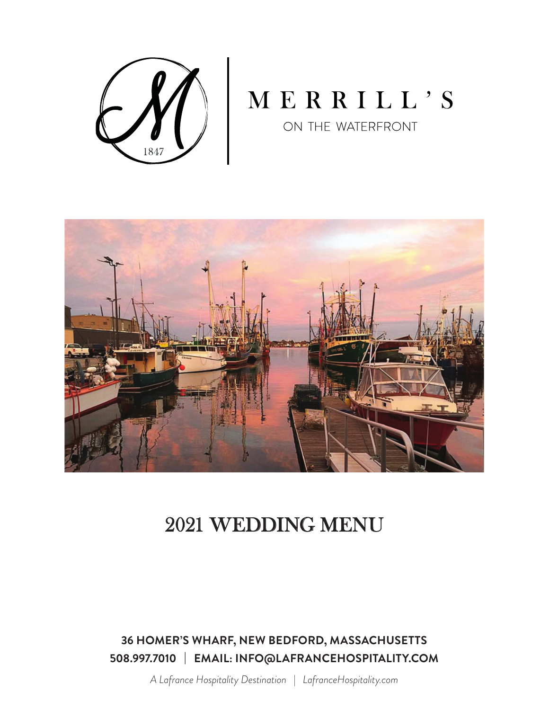

# MERRILL'S

ON THE WATERFRONT



## 2021 WEDDING MENU

**36 HOMER'S WHARF, NEW BEDFORD, MASSACHUSETTS 508.997.7010 | EMAIL: INFO@LAFRANCEHOSPITALITY.COM**

*A Lafrance Hospitality Destination* | *LafranceHospitality.com*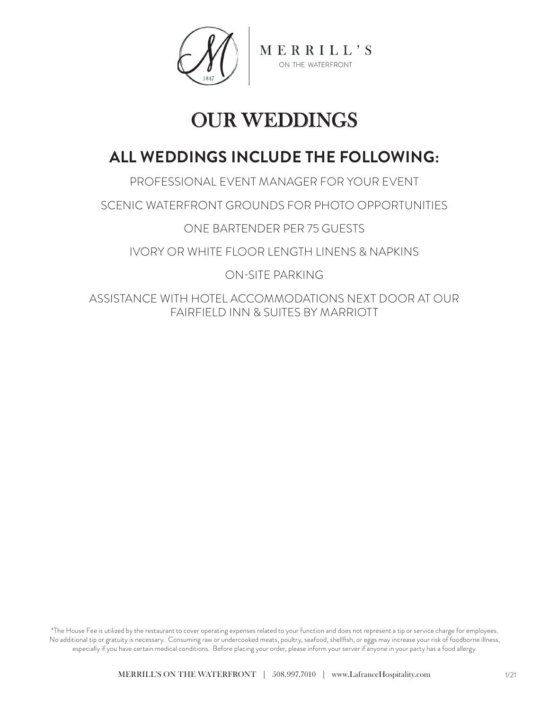

# OUR WEDDINGS

## **ALL WEDDINGS INCLUDE THE FOLLOWING:**

PROFESSIONAL EVENT MANAGER FOR YOUR EVENT SCENIC WATERFRONT GROUNDS FOR PHOTO OPPORTUNITIES ONE BARTENDER PER 75 GUESTS IVORY OR WHITE FLOOR LENGTH LINENS & NAPKINS ON-SITE PARKING

ASSISTANCE WITH HOTEL ACCOMMODATIONS NEXT DOOR AT OUR FAIRFIELD INN & SUITES BY MARRIOTT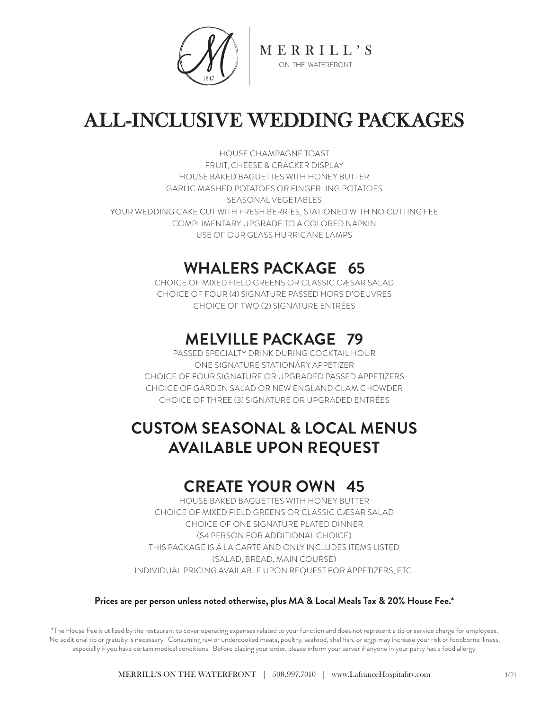

# ALL-INCLUSIVE WEDDING PACKAGES

HOUSE CHAMPAGNE TOAST FRUIT, CHEESE & CRACKER DISPLAY HOUSE BAKED BAGUETTES WITH HONEY BUTTER GARLIC MASHED POTATOES OR FINGERLING POTATOES SEASONAL VEGETABLES YOUR WEDDING CAKE CUT WITH FRESH BERRIES, STATIONED WITH NO CUTTING FEE COMPLIMENTARY UPGRADE TO A COLORED NAPKIN USE OF OUR GLASS HURRICANE LAMPS

## **WHALERS PACKAGE 65**

CHOICE OF MIXED FIELD GREENS OR CLASSIC CÆSAR SALAD CHOICE OF FOUR (4) SIGNATURE PASSED HORS D'OEUVRES CHOICE OF TWO (2) SIGNATURE ENTRÉES

## **MELVILLE PACKAGE 79**

PASSED SPECIALTY DRINK DURING COCKTAIL HOUR ONE SIGNATURE STATIONARY APPETIZER CHOICE OF FOUR SIGNATURE OR UPGRADED PASSED APPETIZERS CHOICE OF GARDEN SALAD OR NEW ENGLAND CLAM CHOWDER CHOICE OF THREE (3) SIGNATURE OR UPGRADED ENTRÉES

## **CUSTOM SEASONAL & LOCAL MENUS AVAILABLE UPON REQUEST**

## **CREATE YOUR OWN 45**

HOUSE BAKED BAGUETTES WITH HONEY BUTTER CHOICE OF MIXED FIELD GREENS OR CLASSIC CÆSAR SALAD CHOICE OF ONE SIGNATURE PLATED DINNER (\$4 PERSON FOR ADDITIONAL CHOICE) THIS PACKAGE IS À LA CARTE AND ONLY INCLUDES ITEMS LISTED (SALAD, BREAD, MAIN COURSE) INDIVIDUAL PRICING AVAILABLE UPON REQUEST FOR APPETIZERS, ETC.

#### **Prices are per person unless noted otherwise, plus MA & Local Meals Tax & 20% House Fee.\***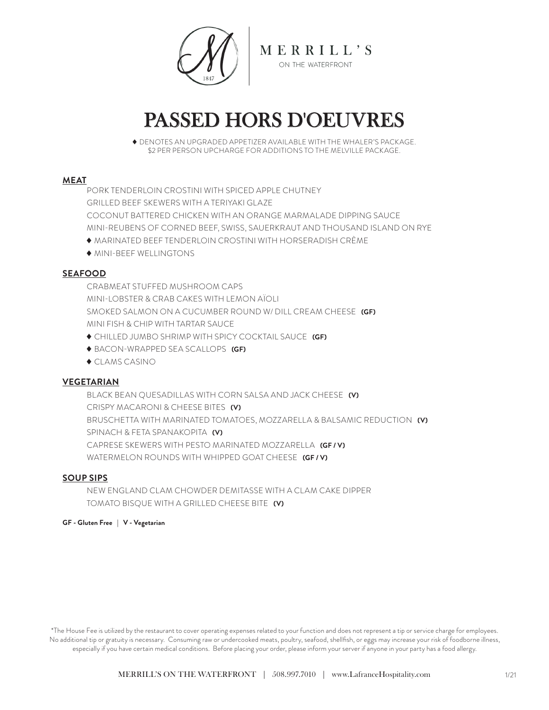

# PASSED HORS D'OEUVRES

 DENOTES AN UPGRADED APPETIZER AVAILABLE WITH THE WHALER'S PACKAGE. \$2 PER PERSON UPCHARGE FOR ADDITIONS TO THE MELVILLE PACKAGE.

#### **MEAT**

PORK TENDERLOIN CROSTINI WITH SPICED APPLE CHUTNEY GRILLED BEEF SKEWERS WITH A TERIYAKI GLAZE COCONUT BATTERED CHICKEN WITH AN ORANGE MARMALADE DIPPING SAUCE MINI-REUBENS OF CORNED BEEF, SWISS, SAUERKRAUT AND THOUSAND ISLAND ON RYE

MARINATED BEEF TENDERLOIN CROSTINI WITH HORSERADISH CRÈME

MINI-BEEF WELLINGTONS

#### **SEAFOOD**

CRABMEAT STUFFED MUSHROOM CAPS MINI-LOBSTER & CRAB CAKES WITH LEMON AÏOLI SMOKED SALMON ON A CUCUMBER ROUND W/ DILL CREAM CHEESE **(GF)** MINI FISH & CHIP WITH TARTAR SAUCE

- CHILLED JUMBO SHRIMP WITH SPICY COCKTAIL SAUCE **(GF)**
- BACON-WRAPPED SEA SCALLOPS **(GF)**
- ◆ CLAMS CASINO

#### **VEGETARIAN**

BLACK BEAN QUESADILLAS WITH CORN SALSA AND JACK CHEESE **(V)** CRISPY MACARONI & CHEESE BITES **(V)** BRUSCHETTA WITH MARINATED TOMATOES, MOZZARELLA & BALSAMIC REDUCTION **(V)** SPINACH & FETA SPANAKOPITA **(V)** CAPRESE SKEWERS WITH PESTO MARINATED MOZZARELLA **(GF / V)** WATERMELON ROUNDS WITH WHIPPED GOAT CHEESE **(GF / V)**

#### **SOUP SIPS**

NEW ENGLAND CLAM CHOWDER DEMITASSE WITH A CLAM CAKE DIPPER TOMATO BISQUE WITH A GRILLED CHEESE BITE **(V)**

#### **GF - Gluten Free | V - Vegetarian**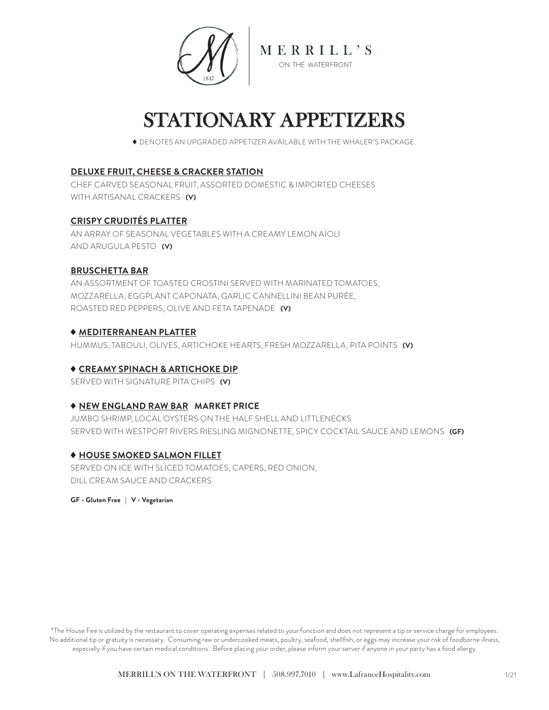

## STATIONARY APPETIZERS

DENOTES AN UPGRADED APPETIZER AVAILABLE WITH THE WHALER'S PACKAGE.

#### **DELUXE FRUIT, CHEESE & CRACKER STATION**

CHEF CARVED SEASONAL FRUIT, ASSORTED DOMESTIC & IMPORTED CHEESES WITH ARTISANAL CRACKERS **(V)**

#### **CRISPY CRUDITÉS PLATTER**

AN ARRAY OF SEASONAL VEGETABLES WITH A CREAMY LEMON AÏOLI AND ARUGULA PESTO **(V)**

#### **BRUSCHETTA BAR**

AN ASSORTMENT OF TOASTED CROSTINI SERVED WITH MARINATED TOMATOES, MOZZARELLA, EGGPLANT CAPONATA, GARLIC CANNELLINI BEAN PURÉE, ROASTED RED PEPPERS, OLIVE AND FETA TAPENADE **(V)**

#### **MEDITERRANEAN PLATTER**

HUMMUS, TABOULI, OLIVES, ARTICHOKE HEARTS, FRESH MOZZARELLA, PITA POINTS **(V)**

#### **CREAMY SPINACH & ARTICHOKE DIP**

SERVED WITH SIGNATURE PITA CHIPS **(V)**

#### **NEW ENGLAND RAW BAR MARKET PRICE**

JUMBO SHRIMP, LOCAL OYSTERS ON THE HALF SHELL AND LITTLENECKS SERVED WITH WESTPORT RIVERS RIESLING MIGNONETTE, SPICY COCKTAIL SAUCE AND LEMONS **(GF)**

#### **HOUSE SMOKED SALMON FILLET**

SERVED ON ICE WITH SLICED TOMATOES, CAPERS, RED ONION, DILL CREAM SAUCE AND CRACKERS

**GF - Gluten Free | V - Vegetarian**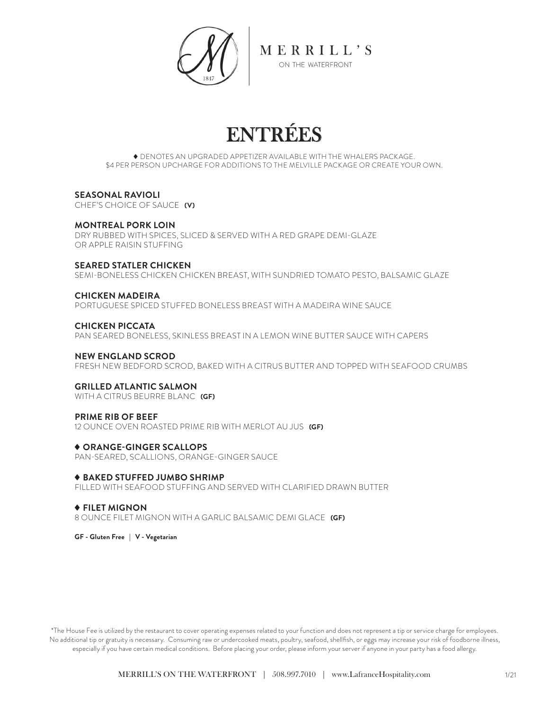

# ENTRÉES

 DENOTES AN UPGRADED APPETIZER AVAILABLE WITH THE WHALERS PACKAGE. \$4 PER PERSON UPCHARGE FOR ADDITIONS TO THE MELVILLE PACKAGE OR CREATE YOUR OWN.

#### **SEASONAL RAVIOLI**

CHEF'S CHOICE OF SAUCE **(V)**

#### **MONTREAL PORK LOIN**

DRY RUBBED WITH SPICES, SLICED & SERVED WITH A RED GRAPE DEMI-GLAZE OR APPLE RAISIN STUFFING

#### **SEARED STATLER CHICKEN**

SEMI-BONELESS CHICKEN CHICKEN BREAST, WITH SUNDRIED TOMATO PESTO, BALSAMIC GLAZE

#### **CHICKEN MADEIRA**

PORTUGUESE SPICED STUFFED BONELESS BREAST WITH A MADEIRA WINE SAUCE

#### **CHICKEN PICCATA**

PAN SEARED BONELESS, SKINLESS BREAST IN A LEMON WINE BUTTER SAUCE WITH CAPERS

#### **NEW ENGLAND SCROD**

FRESH NEW BEDFORD SCROD, BAKED WITH A CITRUS BUTTER AND TOPPED WITH SEAFOOD CRUMBS

#### **GRILLED ATLANTIC SALMON**

WITH A CITRUS BEURRE BLANC **(GF)**

#### **PRIME RIB OF BEEF**

12 OUNCE OVEN ROASTED PRIME RIB WITH MERLOT AU JUS **(GF)**

#### **ORANGE-GINGER SCALLOPS**

PAN-SEARED, SCALLIONS, ORANGE-GINGER SAUCE

#### **BAKED STUFFED JUMBO SHRIMP**

FILLED WITH SEAFOOD STUFFING AND SERVED WITH CLARIFIED DRAWN BUTTER

#### **FILET MIGNON**

8 OUNCE FILET MIGNON WITH A GARLIC BALSAMIC DEMI GLACE **(GF)**

**GF - Gluten Free | V - Vegetarian**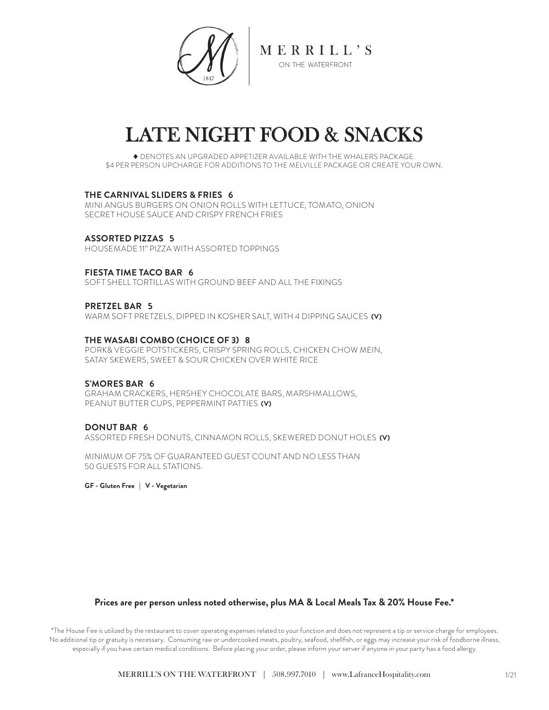

# LATE NIGHT FOOD & SNACKS

 DENOTES AN UPGRADED APPETIZER AVAILABLE WITH THE WHALERS PACKAGE. \$4 PER PERSON UPCHARGE FOR ADDITIONS TO THE MELVILLE PACKAGE OR CREATE YOUR OWN.

#### **THE CARNIVAL SLIDERS & FRIES 6**

MINI ANGUS BURGERS ON ONION ROLLS WITH LETTUCE, TOMATO, ONION SECRET HOUSE SAUCE AND CRISPY FRENCH FRIES

**ASSORTED PIZZAS 5** HOUSEMADE 11" PIZZA WITH ASSORTED TOPPINGS

#### **FIESTA TIME TACO BAR 6**

SOFT SHELL TORTILLAS WITH GROUND BEFF AND ALL THE FIXINGS

#### **PRETZEL BAR 5**

WARM SOFT PRETZELS, DIPPED IN KOSHER SALT, WITH 4 DIPPING SAUCES **(V)**

#### **THE WASABI COMBO (CHOICE OF 3) 8**

PORK& VEGGIE POTSTICKERS, CRISPY SPRING ROLLS, CHICKEN CHOW MEIN, SATAY SKEWERS, SWEET & SOUR CHICKEN OVER WHITE RICE

#### **S'MORES BAR 6**

GRAHAM CRACKERS, HERSHEY CHOCOLATE BARS, MARSHMALLOWS, PEANUT BUTTER CUPS, PEPPERMINT PATTIES **(V)**

#### **DONUT BAR 6**

ASSORTED FRESH DONUTS, CINNAMON ROLLS, SKEWERED DONUT HOLES **(V)**

MINIMUM OF 75% OF GUARANTEED GUEST COUNT AND NO LESS THAN 50 GUESTS FOR ALL STATIONS.

**GF - Gluten Free | V - Vegetarian**

#### **Prices are per person unless noted otherwise, plus MA & Local Meals Tax & 20% House Fee.\***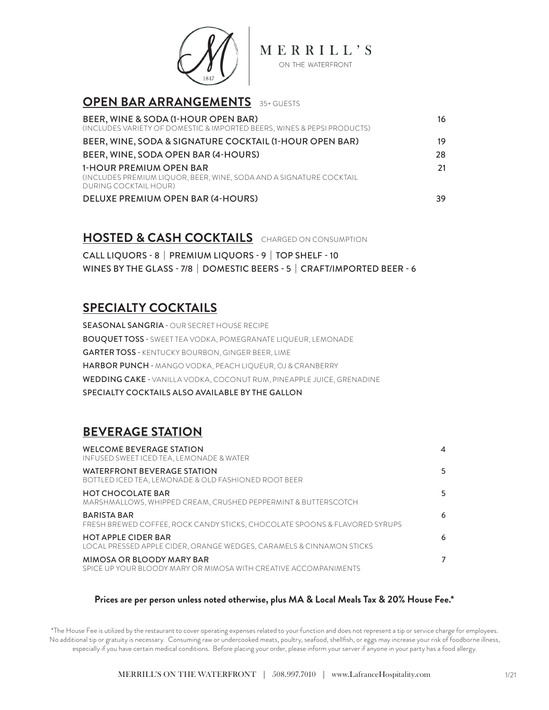

| <b>OPEN BAR ARRANGEMENTS</b> 35+ GUESTS                                                                                 |    |
|-------------------------------------------------------------------------------------------------------------------------|----|
| BEER, WINE & SODA (1-HOUR OPEN BAR)<br>(INCLUDES VARIETY OF DOMESTIC & IMPORTED BEERS, WINES & PEPSI PRODUCTS)          | 16 |
| BEER, WINE, SODA & SIGNATURE COCKTAIL (1-HOUR OPEN BAR)                                                                 | 19 |
| BEER, WINE, SODA OPEN BAR (4-HOURS)                                                                                     | 28 |
| 1-HOUR PREMIUM OPEN BAR<br>(INCLUDES PREMIUM LIQUOR, BEER, WINE, SODA AND A SIGNATURE COCKTAIL<br>DURING COCKTAIL HOUR) | 21 |
| DELUXE PREMIUM OPEN BAR (4-HOURS)                                                                                       | 39 |

### **HOSTED & CASH COCKTAILS** CHARGED ON CONSUMPTION

CALL LIQUORS - 8 | PREMIUM LIQUORS - 9 | TOP SHELF - 10 WINES BY THE GLASS - 7/8 | DOMESTIC BEERS - 5 | CRAFT/IMPORTED BEER - 6

## **SPECIALTY COCKTAILS**

SEASONAL SANGRIA - OUR SECRET HOUSE RECIPE BOUQUET TOSS - SWEET TEA VODKA, POMEGRANATE LIQUEUR, LEMONADE GARTER TOSS - KENTUCKY BOURBON, GINGER BEER, LIME HARBOR PUNCH - MANGO VODKA, PEACH LIQUEUR, OJ & CRANBERRY WEDDING CAKE - VANILLA VODKA, COCONUT RUM, PINEAPPLE JUICE, GRENADINE SPECIALTY COCKTAILS ALSO AVAILABLE BY THE GALLON

## **BEVERAGE STATION**

| <b>WELCOME BEVERAGE STATION</b><br>INFUSED SWEET ICED TEA, LEMONADE & WATER                        | 4  |
|----------------------------------------------------------------------------------------------------|----|
| WATERFRONT BEVERAGE STATION<br>BOTTLED ICED TEA, LEMONADE & OLD FASHIONED ROOT BEER                | 5. |
| <b>HOT CHOCOLATE BAR</b><br>MARSHMALLOWS, WHIPPED CREAM, CRUSHED PEPPERMINT & BUTTERSCOTCH         | 5. |
| <b>BARISTA BAR</b><br>FRESH BREWED COFFEE, ROCK CANDY STICKS, CHOCOLATE SPOONS & FLAVORED SYRUPS   | 6  |
| <b>HOT APPLE CIDER BAR</b><br>LOCAL PRESSED APPLE CIDER, ORANGE WEDGES, CARAMELS & CINNAMON STICKS | 6  |
| MIMOSA OR BLOODY MARY BAR<br>SPICE UP YOUR BLOODY MARY OR MIMOSA WITH CREATIVE ACCOMPANIMENTS      |    |

#### **Prices are per person unless noted otherwise, plus MA & Local Meals Tax & 20% House Fee.\***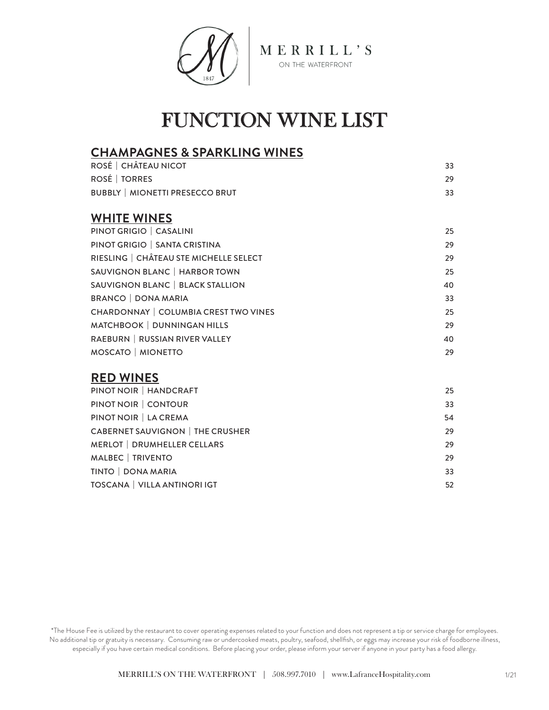

## FUNCTION WINE LIST

### **CHAMPAGNES & SPARKLING WINES**

| ROSÉ   CHÂTEAU NICOT                         | 33 |
|----------------------------------------------|----|
| ROSÉ   TORRES                                | 29 |
| <b>BUBBLY   MIONETTI PRESECCO BRUT</b>       | 33 |
| <b>WHITE WINES</b>                           |    |
| PINOT GRIGIO   CASALINI                      | 25 |
| PINOT GRIGIO   SANTA CRISTINA                | 29 |
| RIESLING   CHÂTEAU STE MICHELLE SELECT       | 29 |
| SAUVIGNON BLANC   HARBOR TOWN                | 25 |
| SAUVIGNON BLANC   BLACK STALLION             | 40 |
| <b>BRANCO   DONA MARIA</b>                   | 33 |
| <b>CHARDONNAY   COLUMBIA CREST TWO VINES</b> | 25 |
| MATCHBOOK   DUNNINGAN HILLS                  | 29 |
| RAEBURN   RUSSIAN RIVER VALLEY               | 40 |
| MOSCATO   MIONETTO                           | 29 |

### **RED WINES**

| PINOT NOIR   HANDCRAFT                  | 25 |
|-----------------------------------------|----|
| PINOT NOIR   CONTOUR                    | 33 |
| PINOT NOIR   LA CREMA                   | 54 |
| <b>CABERNET SAUVIGNON   THE CRUSHER</b> | 29 |
| <b>MERLOT   DRUMHELLER CELLARS</b>      | 29 |
| MALBEC   TRIVENTO                       | 29 |
| TINTO   DONA MARIA                      | 33 |
| TOSCANA   VILLA ANTINORI IGT            | 52 |
|                                         |    |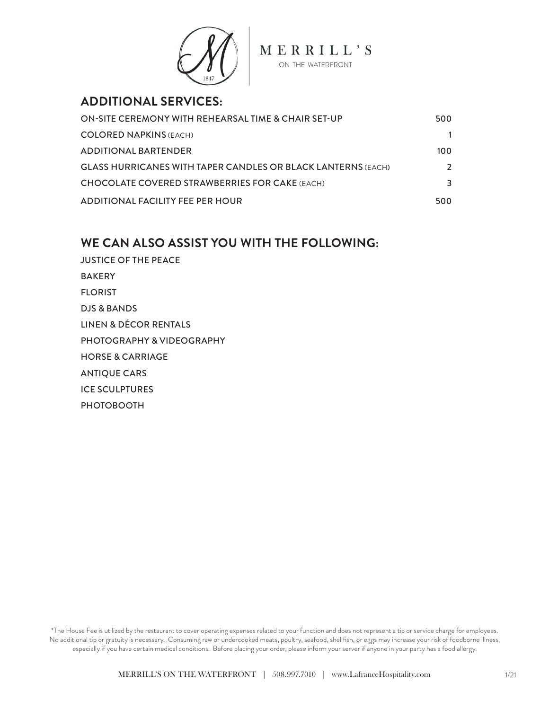

### **ADDITIONAL SERVICES:**

| ON-SITE CEREMONY WITH REHEARSAL TIME & CHAIR SET-UP                 | 500           |
|---------------------------------------------------------------------|---------------|
| <b>COLORED NAPKINS (EACH)</b>                                       |               |
| <b>ADDITIONAL BARTENDER</b>                                         | 100           |
| <b>GLASS HURRICANES WITH TAPER CANDLES OR BLACK LANTERNS (EACH)</b> | $\mathcal{L}$ |
| <b>CHOCOLATE COVERED STRAWBERRIES FOR CAKE (EACH)</b>               | 3             |
| <b>ADDITIONAL FACILITY FEE PER HOUR</b>                             | 500           |

### **WE CAN ALSO ASSIST YOU WITH THE FOLLOWING:**

JUSTICE OF THE PEACE BAKERY FLORIST DJS & BANDS LINEN & DÉCOR RENTALS PHOTOGRAPHY & VIDEOGRAPHY HORSE & CARRIAGE ANTIQUE CARS ICE SCULPTURES PHOTOBOOTH